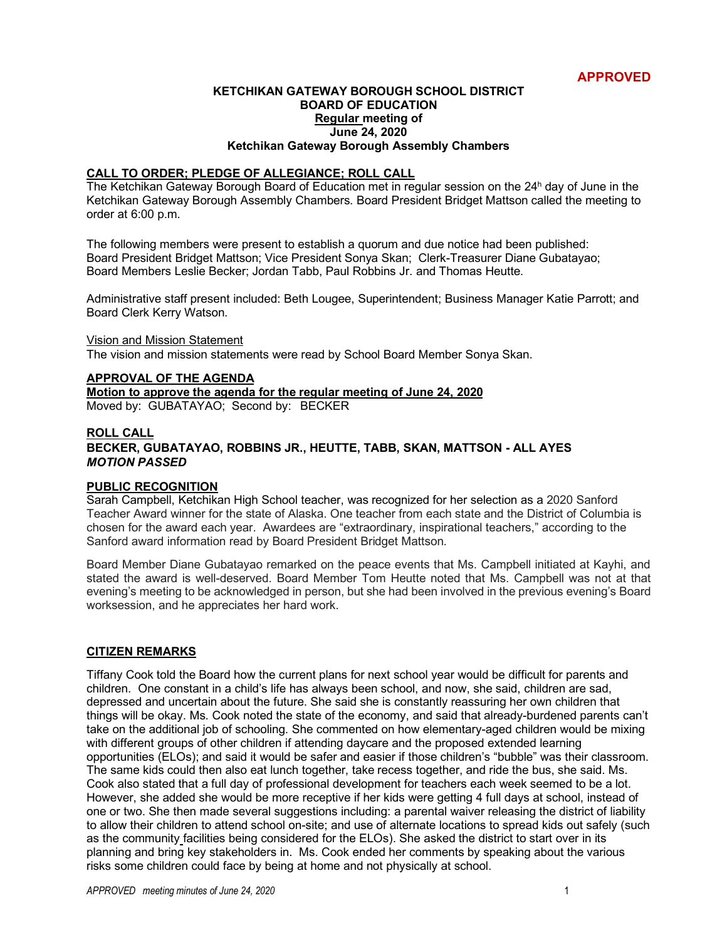## **APPROVED**

#### **KETCHIKAN GATEWAY BOROUGH SCHOOL DISTRICT BOARD OF EDUCATION Regular meeting of June 24, 2020 Ketchikan Gateway Borough Assembly Chambers**

#### **CALL TO ORDER; PLEDGE OF ALLEGIANCE; ROLL CALL**

The Ketchikan Gateway Borough Board of Education met in regular session on the 24h day of June in the Ketchikan Gateway Borough Assembly Chambers. Board President Bridget Mattson called the meeting to order at 6:00 p.m.

The following members were present to establish a quorum and due notice had been published: Board President Bridget Mattson; Vice President Sonya Skan; Clerk-Treasurer Diane Gubatayao; Board Members Leslie Becker; Jordan Tabb, Paul Robbins Jr. and Thomas Heutte.

Administrative staff present included: Beth Lougee, Superintendent; Business Manager Katie Parrott; and Board Clerk Kerry Watson.

#### Vision and Mission Statement

The vision and mission statements were read by School Board Member Sonya Skan.

## **APPROVAL OF THE AGENDA**

**Motion to approve the agenda for the regular meeting of June 24, 2020** Moved by: GUBATAYAO; Second by: BECKER

#### **ROLL CALL**

### **BECKER, GUBATAYAO, ROBBINS JR., HEUTTE, TABB, SKAN, MATTSON - ALL AYES** *MOTION PASSED*

### **PUBLIC RECOGNITION**

Sarah Campbell, Ketchikan High School teacher, was recognized for her selection as a 2020 Sanford Teacher Award winner for the state of Alaska. One teacher from each state and the District of Columbia is chosen for the award each year. Awardees are "extraordinary, inspirational teachers," according to the Sanford award information read by Board President Bridget Mattson.

Board Member Diane Gubatayao remarked on the peace events that Ms. Campbell initiated at Kayhi, and stated the award is well-deserved. Board Member Tom Heutte noted that Ms. Campbell was not at that evening's meeting to be acknowledged in person, but she had been involved in the previous evening's Board worksession, and he appreciates her hard work.

### **CITIZEN REMARKS**

Tiffany Cook told the Board how the current plans for next school year would be difficult for parents and children. One constant in a child's life has always been school, and now, she said, children are sad, depressed and uncertain about the future. She said she is constantly reassuring her own children that things will be okay. Ms. Cook noted the state of the economy, and said that already-burdened parents can't take on the additional job of schooling. She commented on how elementary-aged children would be mixing with different groups of other children if attending daycare and the proposed extended learning opportunities (ELOs); and said it would be safer and easier if those children's "bubble" was their classroom. The same kids could then also eat lunch together, take recess together, and ride the bus, she said. Ms. Cook also stated that a full day of professional development for teachers each week seemed to be a lot. However, she added she would be more receptive if her kids were getting 4 full days at school, instead of one or two. She then made several suggestions including: a parental waiver releasing the district of liability to allow their children to attend school on-site; and use of alternate locations to spread kids out safely (such as the community facilities being considered for the ELOs). She asked the district to start over in its planning and bring key stakeholders in. Ms. Cook ended her comments by speaking about the various risks some children could face by being at home and not physically at school.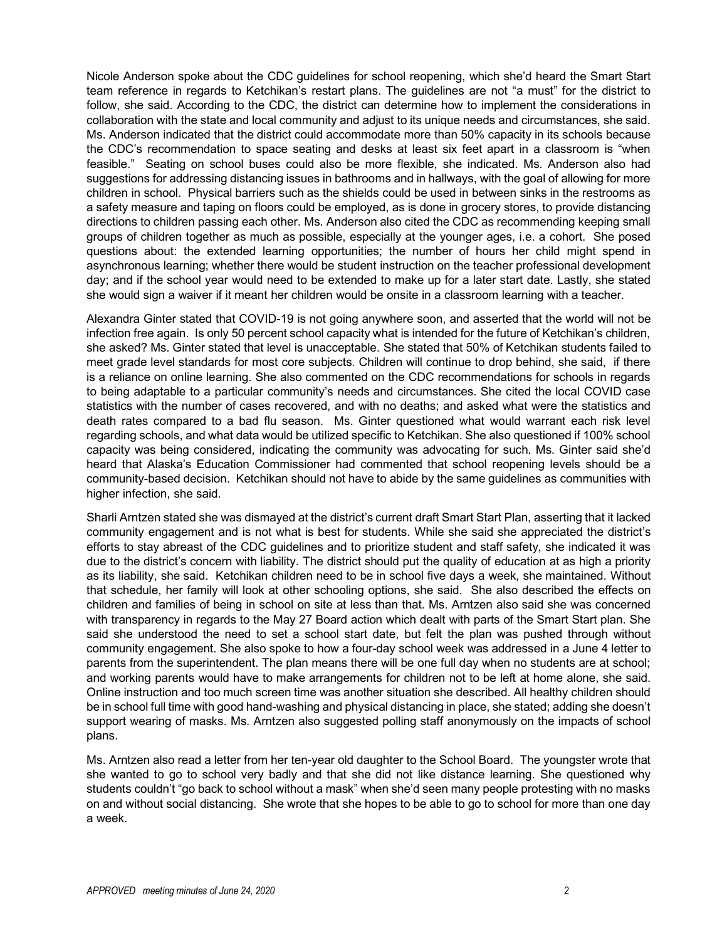Nicole Anderson spoke about the CDC guidelines for school reopening, which she'd heard the Smart Start team reference in regards to Ketchikan's restart plans. The guidelines are not "a must" for the district to follow, she said. According to the CDC, the district can determine how to implement the considerations in collaboration with the state and local community and adjust to its unique needs and circumstances, she said. Ms. Anderson indicated that the district could accommodate more than 50% capacity in its schools because the CDC's recommendation to space seating and desks at least six feet apart in a classroom is "when feasible." Seating on school buses could also be more flexible, she indicated. Ms. Anderson also had suggestions for addressing distancing issues in bathrooms and in hallways, with the goal of allowing for more children in school. Physical barriers such as the shields could be used in between sinks in the restrooms as a safety measure and taping on floors could be employed, as is done in grocery stores, to provide distancing directions to children passing each other. Ms. Anderson also cited the CDC as recommending keeping small groups of children together as much as possible, especially at the younger ages, i.e. a cohort. She posed questions about: the extended learning opportunities; the number of hours her child might spend in asynchronous learning; whether there would be student instruction on the teacher professional development day; and if the school year would need to be extended to make up for a later start date. Lastly, she stated she would sign a waiver if it meant her children would be onsite in a classroom learning with a teacher.

Alexandra Ginter stated that COVID-19 is not going anywhere soon, and asserted that the world will not be infection free again. Is only 50 percent school capacity what is intended for the future of Ketchikan's children, she asked? Ms. Ginter stated that level is unacceptable. She stated that 50% of Ketchikan students failed to meet grade level standards for most core subjects. Children will continue to drop behind, she said, if there is a reliance on online learning. She also commented on the CDC recommendations for schools in regards to being adaptable to a particular community's needs and circumstances. She cited the local COVID case statistics with the number of cases recovered, and with no deaths; and asked what were the statistics and death rates compared to a bad flu season. Ms. Ginter questioned what would warrant each risk level regarding schools, and what data would be utilized specific to Ketchikan. She also questioned if 100% school capacity was being considered, indicating the community was advocating for such. Ms. Ginter said she'd heard that Alaska's Education Commissioner had commented that school reopening levels should be a community-based decision. Ketchikan should not have to abide by the same guidelines as communities with higher infection, she said.

Sharli Arntzen stated she was dismayed at the district's current draft Smart Start Plan, asserting that it lacked community engagement and is not what is best for students. While she said she appreciated the district's efforts to stay abreast of the CDC guidelines and to prioritize student and staff safety, she indicated it was due to the district's concern with liability. The district should put the quality of education at as high a priority as its liability, she said. Ketchikan children need to be in school five days a week, she maintained. Without that schedule, her family will look at other schooling options, she said. She also described the effects on children and families of being in school on site at less than that. Ms. Arntzen also said she was concerned with transparency in regards to the May 27 Board action which dealt with parts of the Smart Start plan. She said she understood the need to set a school start date, but felt the plan was pushed through without community engagement. She also spoke to how a four-day school week was addressed in a June 4 letter to parents from the superintendent. The plan means there will be one full day when no students are at school; and working parents would have to make arrangements for children not to be left at home alone, she said. Online instruction and too much screen time was another situation she described. All healthy children should be in school full time with good hand-washing and physical distancing in place, she stated; adding she doesn't support wearing of masks. Ms. Arntzen also suggested polling staff anonymously on the impacts of school plans.

Ms. Arntzen also read a letter from her ten-year old daughter to the School Board. The youngster wrote that she wanted to go to school very badly and that she did not like distance learning. She questioned why students couldn't "go back to school without a mask" when she'd seen many people protesting with no masks on and without social distancing. She wrote that she hopes to be able to go to school for more than one day a week.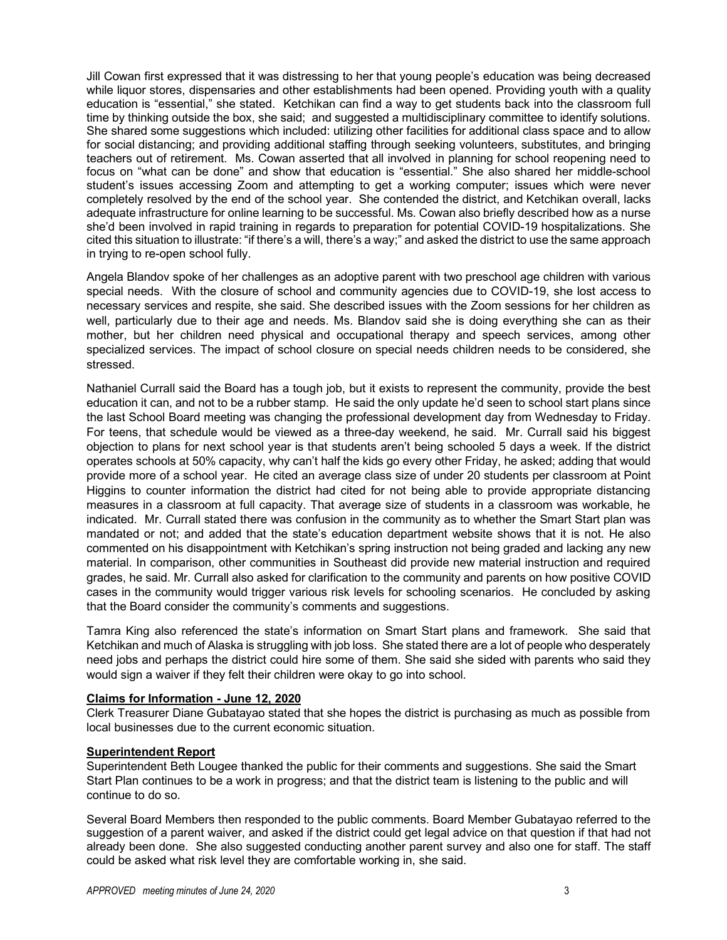Jill Cowan first expressed that it was distressing to her that young people's education was being decreased while liquor stores, dispensaries and other establishments had been opened. Providing youth with a quality education is "essential," she stated. Ketchikan can find a way to get students back into the classroom full time by thinking outside the box, she said; and suggested a multidisciplinary committee to identify solutions. She shared some suggestions which included: utilizing other facilities for additional class space and to allow for social distancing; and providing additional staffing through seeking volunteers, substitutes, and bringing teachers out of retirement. Ms. Cowan asserted that all involved in planning for school reopening need to focus on "what can be done" and show that education is "essential." She also shared her middle-school student's issues accessing Zoom and attempting to get a working computer; issues which were never completely resolved by the end of the school year. She contended the district, and Ketchikan overall, lacks adequate infrastructure for online learning to be successful. Ms. Cowan also briefly described how as a nurse she'd been involved in rapid training in regards to preparation for potential COVID-19 hospitalizations. She cited this situation to illustrate: "if there's a will, there's a way;" and asked the district to use the same approach in trying to re-open school fully.

Angela Blandov spoke of her challenges as an adoptive parent with two preschool age children with various special needs. With the closure of school and community agencies due to COVID-19, she lost access to necessary services and respite, she said. She described issues with the Zoom sessions for her children as well, particularly due to their age and needs. Ms. Blandov said she is doing everything she can as their mother, but her children need physical and occupational therapy and speech services, among other specialized services. The impact of school closure on special needs children needs to be considered, she stressed.

Nathaniel Currall said the Board has a tough job, but it exists to represent the community, provide the best education it can, and not to be a rubber stamp. He said the only update he'd seen to school start plans since the last School Board meeting was changing the professional development day from Wednesday to Friday. For teens, that schedule would be viewed as a three-day weekend, he said. Mr. Currall said his biggest objection to plans for next school year is that students aren't being schooled 5 days a week. If the district operates schools at 50% capacity, why can't half the kids go every other Friday, he asked; adding that would provide more of a school year. He cited an average class size of under 20 students per classroom at Point Higgins to counter information the district had cited for not being able to provide appropriate distancing measures in a classroom at full capacity. That average size of students in a classroom was workable, he indicated. Mr. Currall stated there was confusion in the community as to whether the Smart Start plan was mandated or not; and added that the state's education department website shows that it is not. He also commented on his disappointment with Ketchikan's spring instruction not being graded and lacking any new material. In comparison, other communities in Southeast did provide new material instruction and required grades, he said. Mr. Currall also asked for clarification to the community and parents on how positive COVID cases in the community would trigger various risk levels for schooling scenarios. He concluded by asking that the Board consider the community's comments and suggestions.

Tamra King also referenced the state's information on Smart Start plans and framework. She said that Ketchikan and much of Alaska is struggling with job loss. She stated there are a lot of people who desperately need jobs and perhaps the district could hire some of them. She said she sided with parents who said they would sign a waiver if they felt their children were okay to go into school.

## **Claims for Information - June 12, 2020**

Clerk Treasurer Diane Gubatayao stated that she hopes the district is purchasing as much as possible from local businesses due to the current economic situation.

### **Superintendent Report**

Superintendent Beth Lougee thanked the public for their comments and suggestions. She said the Smart Start Plan continues to be a work in progress; and that the district team is listening to the public and will continue to do so.

Several Board Members then responded to the public comments. Board Member Gubatayao referred to the suggestion of a parent waiver, and asked if the district could get legal advice on that question if that had not already been done. She also suggested conducting another parent survey and also one for staff. The staff could be asked what risk level they are comfortable working in, she said.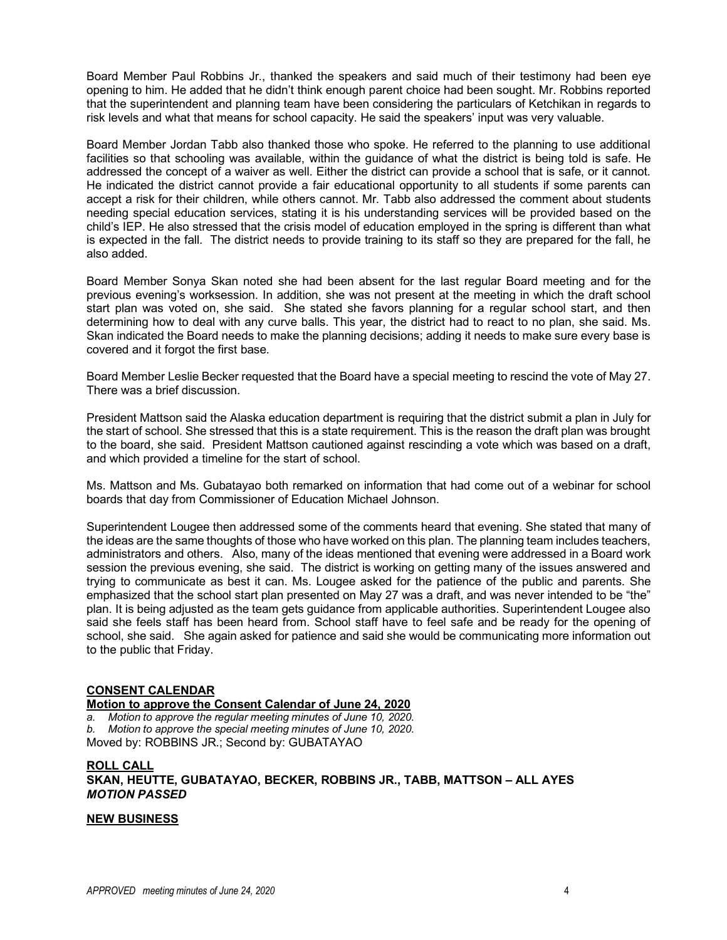Board Member Paul Robbins Jr., thanked the speakers and said much of their testimony had been eye opening to him. He added that he didn't think enough parent choice had been sought. Mr. Robbins reported that the superintendent and planning team have been considering the particulars of Ketchikan in regards to risk levels and what that means for school capacity. He said the speakers' input was very valuable.

Board Member Jordan Tabb also thanked those who spoke. He referred to the planning to use additional facilities so that schooling was available, within the guidance of what the district is being told is safe. He addressed the concept of a waiver as well. Either the district can provide a school that is safe, or it cannot. He indicated the district cannot provide a fair educational opportunity to all students if some parents can accept a risk for their children, while others cannot. Mr. Tabb also addressed the comment about students needing special education services, stating it is his understanding services will be provided based on the child's IEP. He also stressed that the crisis model of education employed in the spring is different than what is expected in the fall. The district needs to provide training to its staff so they are prepared for the fall, he also added.

Board Member Sonya Skan noted she had been absent for the last regular Board meeting and for the previous evening's worksession. In addition, she was not present at the meeting in which the draft school start plan was voted on, she said. She stated she favors planning for a regular school start, and then determining how to deal with any curve balls. This year, the district had to react to no plan, she said. Ms. Skan indicated the Board needs to make the planning decisions; adding it needs to make sure every base is covered and it forgot the first base.

Board Member Leslie Becker requested that the Board have a special meeting to rescind the vote of May 27. There was a brief discussion.

President Mattson said the Alaska education department is requiring that the district submit a plan in July for the start of school. She stressed that this is a state requirement. This is the reason the draft plan was brought to the board, she said. President Mattson cautioned against rescinding a vote which was based on a draft, and which provided a timeline for the start of school.

Ms. Mattson and Ms. Gubatayao both remarked on information that had come out of a webinar for school boards that day from Commissioner of Education Michael Johnson.

Superintendent Lougee then addressed some of the comments heard that evening. She stated that many of the ideas are the same thoughts of those who have worked on this plan. The planning team includes teachers, administrators and others. Also, many of the ideas mentioned that evening were addressed in a Board work session the previous evening, she said. The district is working on getting many of the issues answered and trying to communicate as best it can. Ms. Lougee asked for the patience of the public and parents. She emphasized that the school start plan presented on May 27 was a draft, and was never intended to be "the" plan. It is being adjusted as the team gets guidance from applicable authorities. Superintendent Lougee also said she feels staff has been heard from. School staff have to feel safe and be ready for the opening of school, she said. She again asked for patience and said she would be communicating more information out to the public that Friday.

### **CONSENT CALENDAR**

**Motion to approve the Consent Calendar of June 24, 2020**

*a. Motion to approve the regular meeting minutes of June 10, 2020. b. Motion to approve the special meeting minutes of June 10, 2020.*

Moved by: ROBBINS JR.; Second by: GUBATAYAO

**ROLL CALL SKAN, HEUTTE, GUBATAYAO, BECKER, ROBBINS JR., TABB, MATTSON – ALL AYES** *MOTION PASSED*

### **NEW BUSINESS**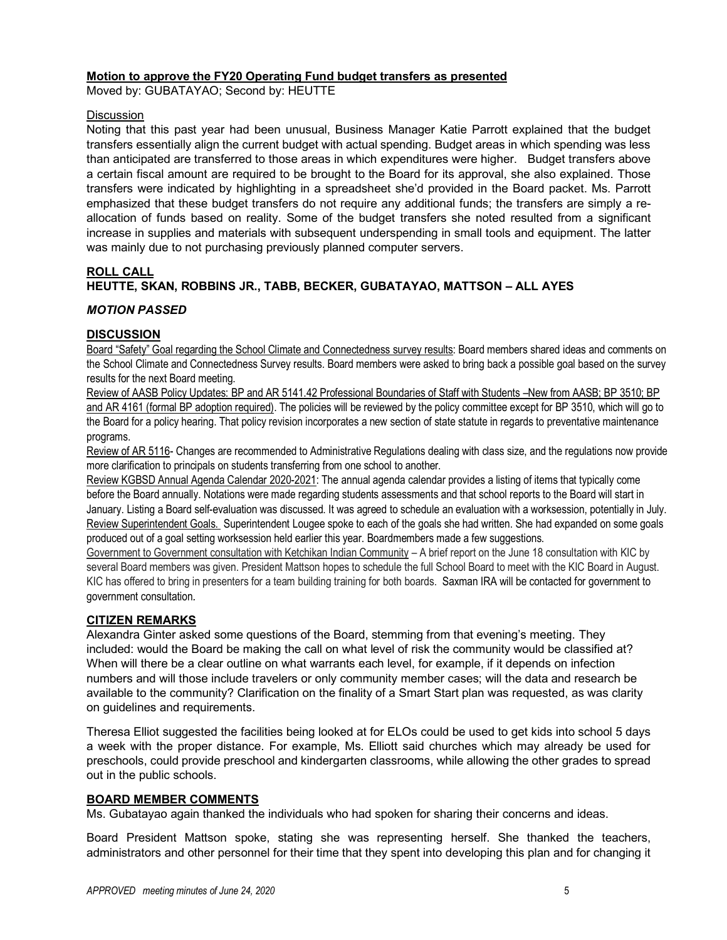### **Motion to approve the FY20 Operating Fund budget transfers as presented**

Moved by: GUBATAYAO; Second by: HEUTTE

### **Discussion**

Noting that this past year had been unusual, Business Manager Katie Parrott explained that the budget transfers essentially align the current budget with actual spending. Budget areas in which spending was less than anticipated are transferred to those areas in which expenditures were higher. Budget transfers above a certain fiscal amount are required to be brought to the Board for its approval, she also explained. Those transfers were indicated by highlighting in a spreadsheet she'd provided in the Board packet. Ms. Parrott emphasized that these budget transfers do not require any additional funds; the transfers are simply a reallocation of funds based on reality. Some of the budget transfers she noted resulted from a significant increase in supplies and materials with subsequent underspending in small tools and equipment. The latter was mainly due to not purchasing previously planned computer servers.

### **ROLL CALL**

# **HEUTTE, SKAN, ROBBINS JR., TABB, BECKER, GUBATAYAO, MATTSON – ALL AYES**

### *MOTION PASSED*

### **DISCUSSION**

Board "Safety" Goal regarding the School Climate and Connectedness survey results: Board members shared ideas and comments on the School Climate and Connectedness Survey results. Board members were asked to bring back a possible goal based on the survey results for the next Board meeting.

Review of AASB Policy Updates: BP and AR 5141.42 Professional Boundaries of Staff with Students –New from AASB; BP 3510; BP and AR 4161 (formal BP adoption required). The policies will be reviewed by the policy committee except for BP 3510, which will go to the Board for a policy hearing. That policy revision incorporates a new section of state statute in regards to preventative maintenance programs.

Review of AR 5116- Changes are recommended to Administrative Regulations dealing with class size, and the regulations now provide more clarification to principals on students transferring from one school to another.

Review KGBSD Annual Agenda Calendar 2020-2021: The annual agenda calendar provides a listing of items that typically come before the Board annually. Notations were made regarding students assessments and that school reports to the Board will start in January. Listing a Board self-evaluation was discussed. It was agreed to schedule an evaluation with a worksession, potentially in July. Review Superintendent Goals. Superintendent Lougee spoke to each of the goals she had written. She had expanded on some goals produced out of a goal setting worksession held earlier this year. Boardmembers made a few suggestions.

Government to Government consultation with Ketchikan Indian Community – A brief report on the June 18 consultation with KIC by several Board members was given. President Mattson hopes to schedule the full School Board to meet with the KIC Board in August. KIC has offered to bring in presenters for a team building training for both boards. Saxman IRA will be contacted for government to government consultation*.* 

## **CITIZEN REMARKS**

Alexandra Ginter asked some questions of the Board, stemming from that evening's meeting. They included: would the Board be making the call on what level of risk the community would be classified at? When will there be a clear outline on what warrants each level, for example, if it depends on infection numbers and will those include travelers or only community member cases; will the data and research be available to the community? Clarification on the finality of a Smart Start plan was requested, as was clarity on guidelines and requirements.

Theresa Elliot suggested the facilities being looked at for ELOs could be used to get kids into school 5 days a week with the proper distance. For example, Ms. Elliott said churches which may already be used for preschools, could provide preschool and kindergarten classrooms, while allowing the other grades to spread out in the public schools.

## **BOARD MEMBER COMMENTS**

Ms. Gubatayao again thanked the individuals who had spoken for sharing their concerns and ideas.

Board President Mattson spoke, stating she was representing herself. She thanked the teachers, administrators and other personnel for their time that they spent into developing this plan and for changing it